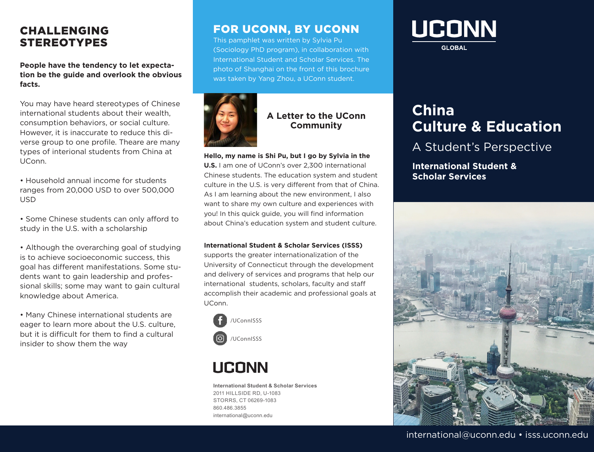## CHALLENGING STEREOTYPES

**People have the tendency to let expectation be the guide and overlook the obvious facts.**

You may have heard stereotypes of Chinese international students about their wealth consumption behaviors, or social culture. However, it is inaccurate to reduce this diverse group to one profile. Theare are many types of interional students from China at UConn.

• Household annual income for students ranges from 20,000 USD to over 500,000 USD

• Some Chinese students can only afford to study in the U.S. with a scholarship

• Although the overarching goal of studying is to achieve socioeconomic success, this goal has different manifestations. Some students want to gain leadership and professional skills; some may want to gain cultural knowledge about America.

• Many Chinese international students are eager to learn more about the U.S. culture, but it is difficult for them to find a cultural insider to show them the way

## FOR UCONN, BY UCONN

This pamphlet was written by Sylvia Pu (Sociology PhD program), in collaboration with International Student and Scholar Services. The photo of Shanghai on the front of this brochure was taken by Yang Zhou, a UConn student.



### **A Letter to the UConn Community**

#### **Hello, my name is Shi Pu, but I go by Sylvia in the**

**U.S.** I am one of UConn's over 2,300 international Chinese students. The education system and student culture in the U.S. is very different from that of China. As I am learning about the new environment, I also want to share my own culture and experiences with you! In this quick guide, you will find information about China's education system and student culture.

#### **International Student & Scholar Services (ISSS)**

supports the greater internationalization of the University of Connecticut through the development and delivery of services and programs that help our international students, scholars, faculty and staff accomplish their academic and professional goals at UConn.



# **UCONN**

**International Student & Scholar Services**  2011 HILLSIDE RD, U-1083 STORRS, CT 06269-1083 860.486.3855 international@uconn.edu



**GLOBAL** 

# **China Culture & Education**

## A Student's Perspective

**International Student & Scholar Services**



### international@uconn.edu • isss.uconn.edu